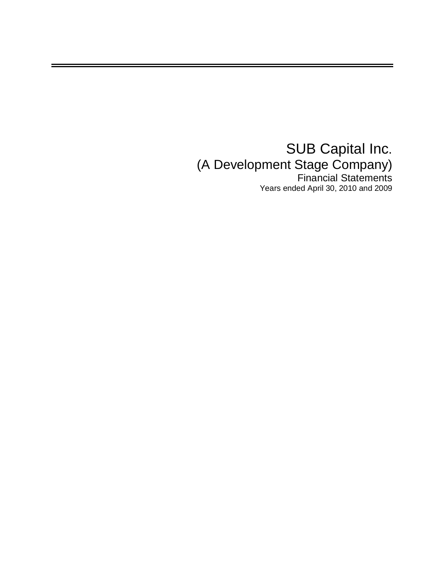## SUB Capital Inc. (A Development Stage Company) Financial Statements Years ended April 30, 2010 and 2009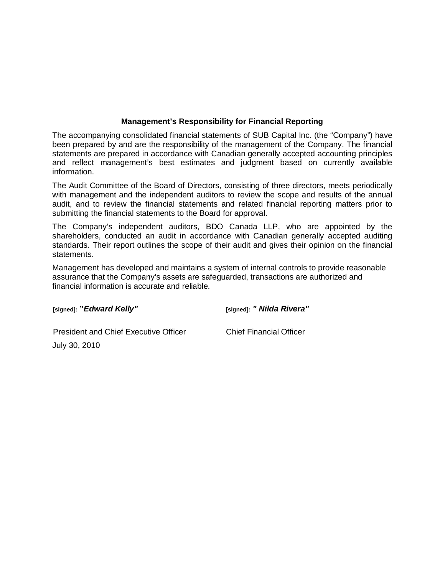## **Management's Responsibility for Financial Reporting**

The accompanying consolidated financial statements of SUB Capital Inc. (the "Company") have been prepared by and are the responsibility of the management of the Company. The financial statements are prepared in accordance with Canadian generally accepted accounting principles and reflect management's best estimates and judgment based on currently available information.

The Audit Committee of the Board of Directors, consisting of three directors, meets periodically with management and the independent auditors to review the scope and results of the annual audit, and to review the financial statements and related financial reporting matters prior to submitting the financial statements to the Board for approval.

The Company's independent auditors, BDO Canada LLP, who are appointed by the shareholders, conducted an audit in accordance with Canadian generally accepted auditing standards. Their report outlines the scope of their audit and gives their opinion on the financial statements.

Management has developed and maintains a system of internal controls to provide reasonable assurance that the Company's assets are safeguarded, transactions are authorized and financial information is accurate and reliable.

**[signed]: "***Edward Kelly"*

**[signed]:** *" Nilda Rivera"*

President and Chief Executive Officer July 30, 2010

Chief Financial Officer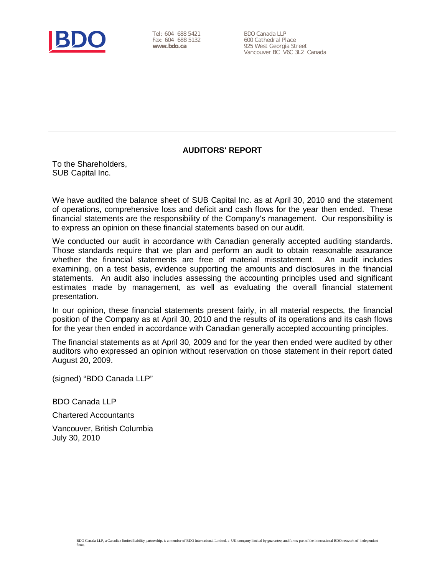

Tel: 604 688 5421 Fax: 604 688 5132 **www.bdo.ca**

BDO Canada LLP 600 Cathedral Place 925 West Georgia Street Vancouver BC V6C 3L2 Canada

## **AUDITORS' REPORT**

To the Shareholders, SUB Capital Inc.

We have audited the balance sheet of SUB Capital Inc. as at April 30, 2010 and the statement of operations, comprehensive loss and deficit and cash flows for the year then ended. These financial statements are the responsibility of the Company's management. Our responsibility is to express an opinion on these financial statements based on our audit.

We conducted our audit in accordance with Canadian generally accepted auditing standards. Those standards require that we plan and perform an audit to obtain reasonable assurance whether the financial statements are free of material misstatement. An audit includes examining, on a test basis, evidence supporting the amounts and disclosures in the financial statements. An audit also includes assessing the accounting principles used and significant estimates made by management, as well as evaluating the overall financial statement presentation.

In our opinion, these financial statements present fairly, in all material respects, the financial position of the Company as at April 30, 2010 and the results of its operations and its cash flows for the year then ended in accordance with Canadian generally accepted accounting principles.

The financial statements as at April 30, 2009 and for the year then ended were audited by other auditors who expressed an opinion without reservation on those statement in their report dated August 20, 2009.

(signed) "BDO Canada LLP"

BDO Canada LLP

Chartered Accountants

Vancouver, British Columbia July 30, 2010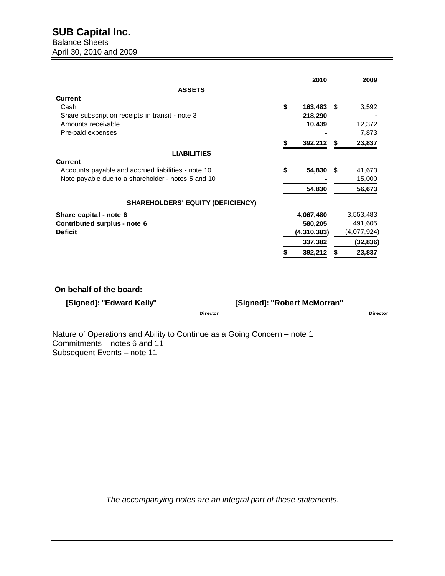|                                                    | 2010          | 2009         |
|----------------------------------------------------|---------------|--------------|
| <b>ASSETS</b>                                      |               |              |
| <b>Current</b>                                     |               |              |
| Cash                                               | \$<br>163,483 | \$<br>3,592  |
| Share subscription receipts in transit - note 3    | 218,290       |              |
| Amounts receivable                                 | 10,439        | 12,372       |
| Pre-paid expenses                                  |               | 7,873        |
|                                                    | 392,212       | \$<br>23,837 |
| <b>LIABILITIES</b>                                 |               |              |
| <b>Current</b>                                     |               |              |
| Accounts payable and accrued liabilities - note 10 | \$<br>54,830  | \$<br>41,673 |
| Note payable due to a shareholder - notes 5 and 10 |               | 15,000       |
|                                                    | 54,830        | 56,673       |
| <b>SHAREHOLDERS' EQUITY (DEFICIENCY)</b>           |               |              |
| Share capital - note 6                             | 4,067,480     | 3,553,483    |
| Contributed surplus - note 6                       | 580,205       | 491,605      |
| <b>Deficit</b>                                     | (4,310,303)   | (4,077,924)  |
|                                                    | 337,382       | (32,836)     |
|                                                    | 392,212       | 23,837       |

#### **On behalf of the board:**

**[Signed]: "Edward Kelly" [Signed]: "Robert McMorran"**

**Director Director**

Nature of Operations and Ability to Continue as a Going Concern – note 1 Commitments – notes 6 and 11 Subsequent Events – note 11

*The accompanying notes are an integral part of these statements.*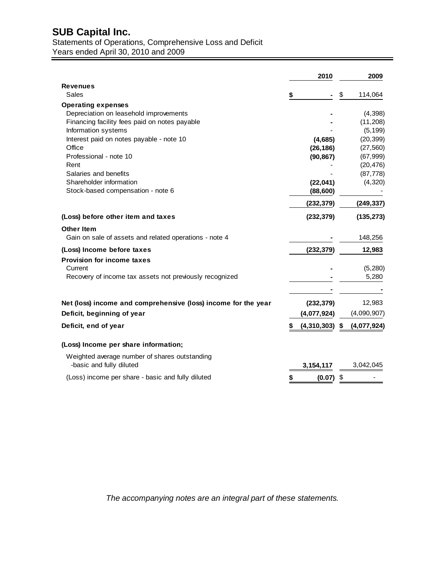# **SUB Capital Inc.** Statements of Operations, Comprehensive Loss and Deficit

Years ended April 30, 2010 and 2009

|                                                                | 2010                   | 2009          |
|----------------------------------------------------------------|------------------------|---------------|
| <b>Revenues</b>                                                |                        |               |
| <b>Sales</b>                                                   | \$                     | \$<br>114,064 |
| <b>Operating expenses</b>                                      |                        |               |
| Depreciation on leasehold improvements                         |                        | (4,398)       |
| Financing facility fees paid on notes payable                  |                        | (11,208)      |
| Information systems                                            |                        | (5, 199)      |
| Interest paid on notes payable - note 10                       | (4,685)                | (20, 399)     |
| Office                                                         | (26, 186)              | (27, 560)     |
| Professional - note 10                                         | (90, 867)              | (67, 999)     |
| Rent                                                           |                        | (20, 476)     |
| Salaries and benefits                                          |                        | (87, 778)     |
| Shareholder information                                        | (22, 041)              | (4,320)       |
| Stock-based compensation - note 6                              | (88, 600)              |               |
|                                                                | (232, 379)             | (249, 337)    |
| (Loss) before other item and taxes                             | (232, 379)             | (135, 273)    |
| <b>Other Item</b>                                              |                        |               |
| Gain on sale of assets and related operations - note 4         |                        | 148,256       |
| (Loss) Income before taxes                                     | (232, 379)             | 12,983        |
| <b>Provision for income taxes</b>                              |                        |               |
| Current                                                        |                        | (5,280)       |
| Recovery of income tax assets not previously recognized        |                        | 5.280         |
|                                                                |                        |               |
| Net (loss) income and comprehensive (loss) income for the year | (232, 379)             | 12,983        |
| Deficit, beginning of year                                     | (4,077,924)            | (4,090,907)   |
| Deficit, end of year                                           | $(4,310,303)$ \$<br>\$ | (4,077,924)   |
| (Loss) Income per share information;                           |                        |               |
| Weighted average number of shares outstanding                  |                        |               |
| -basic and fully diluted                                       |                        | 3,042,045     |
|                                                                | 3,154,117              |               |
| (Loss) income per share - basic and fully diluted              | S<br>(0.07)            | \$            |

*The accompanying notes are an integral part of these statements.*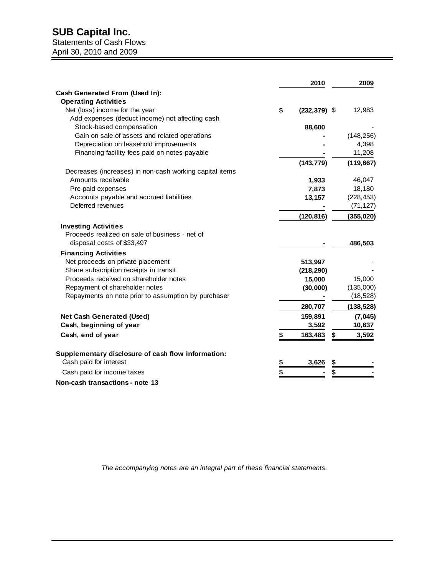## **SUB Capital Inc.**

#### Statements of Cash Flows April 30, 2010 and 2009

|                                                         | 2010                  | 2009        |
|---------------------------------------------------------|-----------------------|-------------|
| Cash Generated From (Used In):                          |                       |             |
| <b>Operating Activities</b>                             |                       |             |
| Net (loss) income for the year                          | \$<br>$(232, 379)$ \$ | 12,983      |
| Add expenses (deduct income) not affecting cash         |                       |             |
| Stock-based compensation                                | 88,600                |             |
| Gain on sale of assets and related operations           |                       | (148, 256)  |
| Depreciation on leasehold improvements                  |                       | 4,398       |
| Financing facility fees paid on notes payable           |                       | 11,208      |
|                                                         | (143, 779)            | (119, 667)  |
| Decreases (increases) in non-cash working capital items |                       |             |
| Amounts receivable                                      | 1,933                 | 46,047      |
| Pre-paid expenses                                       | 7,873                 | 18,180      |
| Accounts payable and accrued liabilities                | 13,157                | (228, 453)  |
| Deferred revenues                                       |                       | (71, 127)   |
|                                                         | (120, 816)            | (355, 020)  |
| <b>Investing Activities</b>                             |                       |             |
| Proceeds realized on sale of business - net of          |                       |             |
| disposal costs of \$33,497                              |                       | 486,503     |
| <b>Financing Activities</b>                             |                       |             |
| Net proceeds on private placement                       | 513,997               |             |
| Share subscription receipts in transit                  | (218, 290)            |             |
| Proceeds received on shareholder notes                  | 15,000                | 15,000      |
| Repayment of shareholder notes                          | (30,000)              | (135,000)   |
| Repayments on note prior to assumption by purchaser     |                       | (18, 528)   |
|                                                         | 280,707               | (138, 528)  |
| Net Cash Generated (Used)                               | 159,891               | (7,045)     |
| Cash, beginning of year                                 | 3,592                 | 10,637      |
| Cash, end of year                                       | \$<br>163,483         | \$<br>3,592 |
| Supplementary disclosure of cash flow information:      |                       |             |
| Cash paid for interest                                  | \$<br>3,626           |             |
| Cash paid for income taxes                              | \$                    |             |
| Non-cash transactions - note 13                         |                       |             |

*The accompanying notes are an integral part of these financial statements.*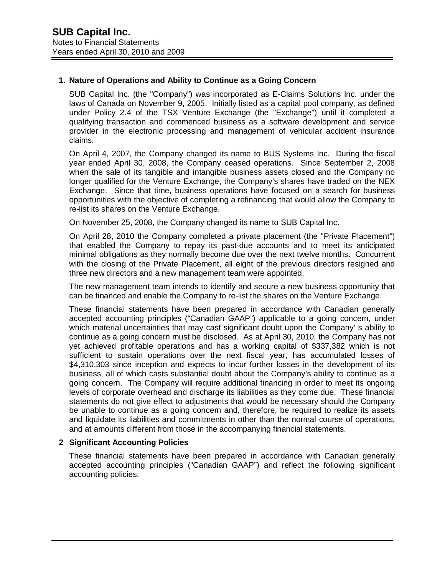## **1. Nature of Operations and Ability to Continue as a Going Concern**

SUB Capital Inc. (the "Company") was incorporated as E-Claims Solutions Inc. under the laws of Canada on November 9, 2005. Initially listed as a capital pool company, as defined under Policy 2.4 of the TSX Venture Exchange (the "Exchange") until it completed a qualifying transaction and commenced business as a software development and service provider in the electronic processing and management of vehicular accident insurance claims.

On April 4, 2007, the Company changed its name to BUS Systems Inc. During the fiscal year ended April 30, 2008, the Company ceased operations. Since September 2, 2008 when the sale of its tangible and intangible business assets closed and the Company no longer qualified for the Venture Exchange, the Company's shares have traded on the NEX Exchange. Since that time, business operations have focused on a search for business opportunities with the objective of completing a refinancing that would allow the Company to re-list its shares on the Venture Exchange.

On November 25, 2008, the Company changed its name to SUB Capital Inc.

On April 28, 2010 the Company completed a private placement (the "Private Placement") that enabled the Company to repay its past-due accounts and to meet its anticipated minimal obligations as they normally become due over the next twelve months. Concurrent with the closing of the Private Placement, all eight of the previous directors resigned and three new directors and a new management team were appointed.

The new management team intends to identify and secure a new business opportunity that can be financed and enable the Company to re-list the shares on the Venture Exchange.

These financial statements have been prepared in accordance with Canadian generally accepted accounting principles ("Canadian GAAP") applicable to a going concern, under which material uncertainties that may cast significant doubt upon the Company' s ability to continue as a going concern must be disclosed. As at April 30, 2010, the Company has not yet achieved profitable operations and has a working capital of \$337,382 which is not sufficient to sustain operations over the next fiscal year, has accumulated losses of \$4,310,303 since inception and expects to incur further losses in the development of its business, all of which casts substantial doubt about the Company's ability to continue as a going concern. The Company will require additional financing in order to meet its ongoing levels of corporate overhead and discharge its liabilities as they come due. These financial statements do not give effect to adjustments that would be necessary should the Company be unable to continue as a going concern and, therefore, be required to realize its assets and liquidate its liabilities and commitments in other than the normal course of operations, and at amounts different from those in the accompanying financial statements.

#### **2 Significant Accounting Policies**

These financial statements have been prepared in accordance with Canadian generally accepted accounting principles ("Canadian GAAP") and reflect the following significant accounting policies: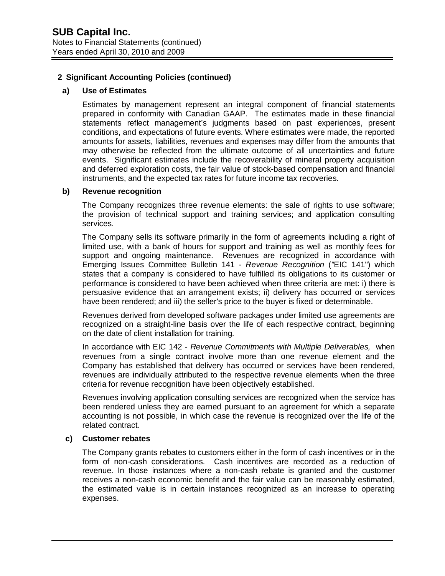#### **a) Use of Estimates**

Estimates by management represent an integral component of financial statements prepared in conformity with Canadian GAAP. The estimates made in these financial statements reflect management's judgments based on past experiences, present conditions, and expectations of future events. Where estimates were made, the reported amounts for assets, liabilities, revenues and expenses may differ from the amounts that may otherwise be reflected from the ultimate outcome of all uncertainties and future events. Significant estimates include the recoverability of mineral property acquisition and deferred exploration costs, the fair value of stock-based compensation and financial instruments, and the expected tax rates for future income tax recoveries.

#### **b) Revenue recognition**

The Company recognizes three revenue elements; the sale of rights to use software; the provision of technical support and training services; and application consulting services.

The Company sells its software primarily in the form of agreements including a right of limited use, with a bank of hours for support and training as well as monthly fees for support and ongoing maintenance. Revenues are recognized in accordance with Emerging Issues Committee Bulletin 141 - *Revenue Recognition* (*"*EIC 141") which states that a company is considered to have fulfilled its obligations to its customer or performance is considered to have been achieved when three criteria are met: i) there is persuasive evidence that an arrangement exists; ii) delivery has occurred or services have been rendered; and iii) the seller's price to the buyer is fixed or determinable.

Revenues derived from developed software packages under limited use agreements are recognized on a straight-line basis over the life of each respective contract, beginning on the date of client installation for training.

In accordance with EIC 142 - *Revenue Commitments with Multiple Deliverables,* when revenues from a single contract involve more than one revenue element and the Company has established that delivery has occurred or services have been rendered, revenues are individually attributed to the respective revenue elements when the three criteria for revenue recognition have been objectively established.

Revenues involving application consulting services are recognized when the service has been rendered unless they are earned pursuant to an agreement for which a separate accounting is not possible, in which case the revenue is recognized over the life of the related contract.

#### **c) Customer rebates**

The Company grants rebates to customers either in the form of cash incentives or in the form of non-cash considerations. Cash incentives are recorded as a reduction of revenue. In those instances where a non-cash rebate is granted and the customer receives a non-cash economic benefit and the fair value can be reasonably estimated, the estimated value is in certain instances recognized as an increase to operating expenses.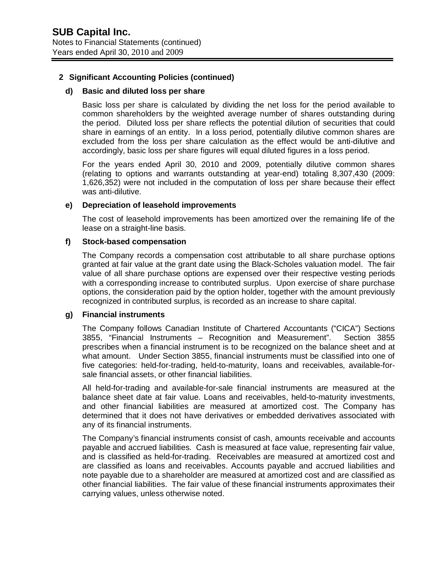#### **d) Basic and diluted loss per share**

Basic loss per share is calculated by dividing the net loss for the period available to common shareholders by the weighted average number of shares outstanding during the period. Diluted loss per share reflects the potential dilution of securities that could share in earnings of an entity. In a loss period, potentially dilutive common shares are excluded from the loss per share calculation as the effect would be anti-dilutive and accordingly, basic loss per share figures will equal diluted figures in a loss period.

For the years ended April 30, 2010 and 2009, potentially dilutive common shares (relating to options and warrants outstanding at year-end) totaling 8,307,430 (2009: 1,626,352) were not included in the computation of loss per share because their effect was anti-dilutive.

#### **e) Depreciation of leasehold improvements**

The cost of leasehold improvements has been amortized over the remaining life of the lease on a straight-line basis.

#### **f) Stock-based compensation**

The Company records a compensation cost attributable to all share purchase options granted at fair value at the grant date using the Black-Scholes valuation model. The fair value of all share purchase options are expensed over their respective vesting periods with a corresponding increase to contributed surplus. Upon exercise of share purchase options, the consideration paid by the option holder, together with the amount previously recognized in contributed surplus, is recorded as an increase to share capital.

#### **g) Financial instruments**

The Company follows Canadian Institute of Chartered Accountants ("CICA") Sections 3855, "Financial Instruments – Recognition and Measurement". Section 3855 prescribes when a financial instrument is to be recognized on the balance sheet and at what amount. Under Section 3855, financial instruments must be classified into one of five categories: held-for-trading, held-to-maturity, loans and receivables, available-forsale financial assets, or other financial liabilities.

All held-for-trading and available-for-sale financial instruments are measured at the balance sheet date at fair value. Loans and receivables, held-to-maturity investments, and other financial liabilities are measured at amortized cost. The Company has determined that it does not have derivatives or embedded derivatives associated with any of its financial instruments.

The Company's financial instruments consist of cash, amounts receivable and accounts payable and accrued liabilities. Cash is measured at face value, representing fair value, and is classified as held-for-trading. Receivables are measured at amortized cost and are classified as loans and receivables. Accounts payable and accrued liabilities and note payable due to a shareholder are measured at amortized cost and are classified as other financial liabilities. The fair value of these financial instruments approximates their carrying values, unless otherwise noted.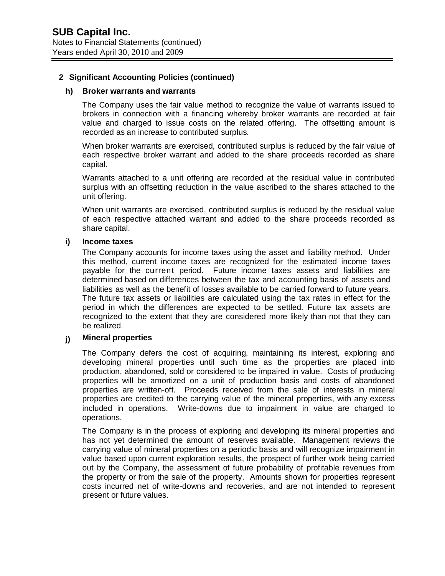#### **h) Broker warrants and warrants**

The Company uses the fair value method to recognize the value of warrants issued to brokers in connection with a financing whereby broker warrants are recorded at fair value and charged to issue costs on the related offering. The offsetting amount is recorded as an increase to contributed surplus.

When broker warrants are exercised, contributed surplus is reduced by the fair value of each respective broker warrant and added to the share proceeds recorded as share capital.

Warrants attached to a unit offering are recorded at the residual value in contributed surplus with an offsetting reduction in the value ascribed to the shares attached to the unit offering.

When unit warrants are exercised, contributed surplus is reduced by the residual value of each respective attached warrant and added to the share proceeds recorded as share capital.

#### **i) Income taxes**

The Company accounts for income taxes using the asset and liability method. Under this method, current income taxes are recognized for the estimated income taxes payable for the current period. Future income taxes assets and liabilities are determined based on differences between the tax and accounting basis of assets and liabilities as well as the benefit of losses available to be carried forward to future years. The future tax assets or liabilities are calculated using the tax rates in effect for the period in which the differences are expected to be settled. Future tax assets are recognized to the extent that they are considered more likely than not that they can be realized.

## **j) Mineral properties**

The Company defers the cost of acquiring, maintaining its interest, exploring and developing mineral properties until such time as the properties are placed into production, abandoned, sold or considered to be impaired in value. Costs of producing properties will be amortized on a unit of production basis and costs of abandoned properties are written-off. Proceeds received from the sale of interests in mineral properties are credited to the carrying value of the mineral properties, with any excess included in operations. Write-downs due to impairment in value are charged to operations.

The Company is in the process of exploring and developing its mineral properties and has not yet determined the amount of reserves available. Management reviews the carrying value of mineral properties on a periodic basis and will recognize impairment in value based upon current exploration results, the prospect of further work being carried out by the Company, the assessment of future probability of profitable revenues from the property or from the sale of the property. Amounts shown for properties represent costs incurred net of write-downs and recoveries, and are not intended to represent present or future values.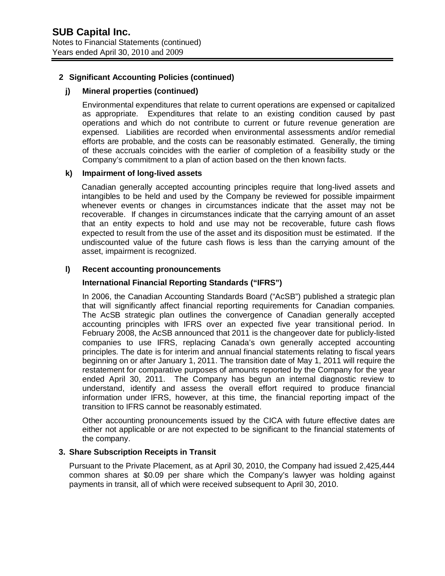### **j) Mineral properties (continued)**

Environmental expenditures that relate to current operations are expensed or capitalized as appropriate. Expenditures that relate to an existing condition caused by past operations and which do not contribute to current or future revenue generation are expensed. Liabilities are recorded when environmental assessments and/or remedial efforts are probable, and the costs can be reasonably estimated. Generally, the timing of these accruals coincides with the earlier of completion of a feasibility study or the Company's commitment to a plan of action based on the then known facts.

#### **k) Impairment of long-lived assets**

Canadian generally accepted accounting principles require that long-lived assets and intangibles to be held and used by the Company be reviewed for possible impairment whenever events or changes in circumstances indicate that the asset may not be recoverable. If changes in circumstances indicate that the carrying amount of an asset that an entity expects to hold and use may not be recoverable, future cash flows expected to result from the use of the asset and its disposition must be estimated. If the undiscounted value of the future cash flows is less than the carrying amount of the asset, impairment is recognized.

## **l) Recent accounting pronouncements**

## **International Financial Reporting Standards ("IFRS")**

In 2006, the Canadian Accounting Standards Board ("AcSB") published a strategic plan that will significantly affect financial reporting requirements for Canadian companies. The AcSB strategic plan outlines the convergence of Canadian generally accepted accounting principles with IFRS over an expected five year transitional period. In February 2008, the AcSB announced that 2011 is the changeover date for publicly-listed companies to use IFRS, replacing Canada's own generally accepted accounting principles. The date is for interim and annual financial statements relating to fiscal years beginning on or after January 1, 2011. The transition date of May 1, 2011 will require the restatement for comparative purposes of amounts reported by the Company for the year ended April 30, 2011. The Company has begun an internal diagnostic review to understand, identify and assess the overall effort required to produce financial information under IFRS, however, at this time, the financial reporting impact of the transition to IFRS cannot be reasonably estimated.

Other accounting pronouncements issued by the CICA with future effective dates are either not applicable or are not expected to be significant to the financial statements of the company.

## **3. Share Subscription Receipts in Transit**

Pursuant to the Private Placement, as at April 30, 2010, the Company had issued 2,425,444 common shares at \$0.09 per share which the Company's lawyer was holding against payments in transit, all of which were received subsequent to April 30, 2010.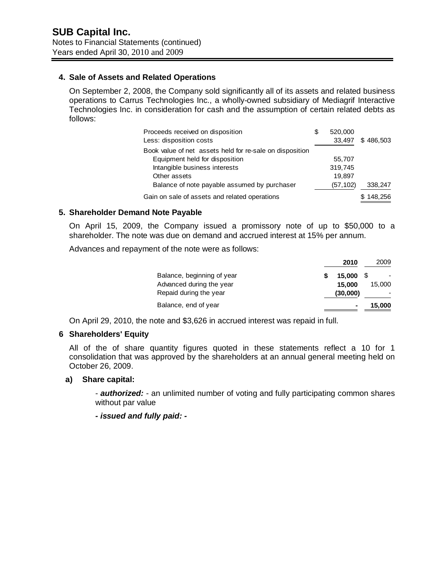## **4. Sale of Assets and Related Operations**

On September 2, 2008, the Company sold significantly all of its assets and related business operations to Carrus Technologies Inc., a wholly-owned subsidiary of Mediagrif Interactive Technologies Inc. in consideration for cash and the assumption of certain related debts as follows:

| Proceeds received on disposition                         | S | 520,000  |           |
|----------------------------------------------------------|---|----------|-----------|
| Less: disposition costs                                  |   | 33,497   | \$486,503 |
| Book value of net assets held for re-sale on disposition |   |          |           |
| Equipment held for disposition                           |   | 55,707   |           |
| Intangible business interests                            |   | 319,745  |           |
| Other assets                                             |   | 19,897   |           |
| Balance of note payable assumed by purchaser             |   | (57,102) | 338,247   |
| Gain on sale of assets and related operations            |   |          | 148,256   |

## **5. Shareholder Demand Note Payable**

On April 15, 2009, the Company issued a promissory note of up to \$50,000 to a shareholder. The note was due on demand and accrued interest at 15% per annum.

Advances and repayment of the note were as follows:

|                            | 2010     | 2009   |
|----------------------------|----------|--------|
| Balance, beginning of year | 15.000   |        |
| Advanced during the year   | 15,000   | 15,000 |
| Repaid during the year     | (30,000) |        |
| Balance, end of year       |          | 15,000 |

On April 29, 2010, the note and \$3,626 in accrued interest was repaid in full.

#### **6 Shareholders' Equity**

All of the of share quantity figures quoted in these statements reflect a 10 for 1 consolidation that was approved by the shareholders at an annual general meeting held on October 26, 2009.

#### **a) Share capital:**

- *authorized:* - an unlimited number of voting and fully participating common shares without par value

*- issued and fully paid: -*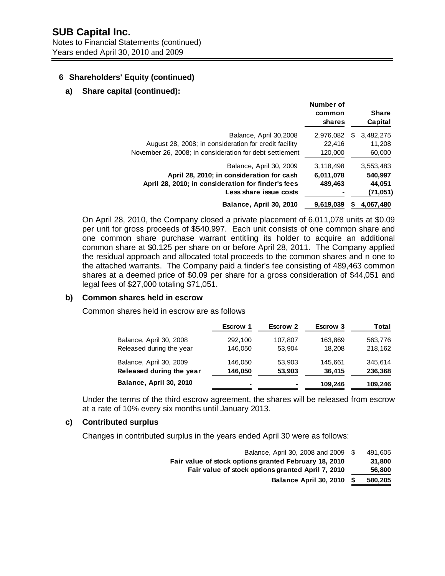## **6 Shareholders' Equity (continued)**

### **a) Share capital (continued):**

| Balance, April 30,2008<br>2,976,082<br>3,482,275<br>S<br>August 28, 2008; in consideration for credit facility<br>22,416<br>11.208<br>November 26, 2008; in consideration for debt settlement<br>120,000<br>60,000<br>Balance, April 30, 2009<br>3,118,498<br>3,553,483<br>April 28, 2010; in consideration for cash<br>540,997<br>6,011,078 | <b>Share</b><br>Capital |
|----------------------------------------------------------------------------------------------------------------------------------------------------------------------------------------------------------------------------------------------------------------------------------------------------------------------------------------------|-------------------------|
|                                                                                                                                                                                                                                                                                                                                              |                         |
|                                                                                                                                                                                                                                                                                                                                              |                         |
|                                                                                                                                                                                                                                                                                                                                              |                         |
|                                                                                                                                                                                                                                                                                                                                              |                         |
|                                                                                                                                                                                                                                                                                                                                              |                         |
| April 28, 2010; in consideration for finder's fees<br>489,463<br>44,051                                                                                                                                                                                                                                                                      |                         |
| Less share issue costs<br>(71,051)                                                                                                                                                                                                                                                                                                           |                         |
| Balance, April 30, 2010<br>9,619,039<br>4,067,480                                                                                                                                                                                                                                                                                            |                         |

On April 28, 2010, the Company closed a private placement of 6,011,078 units at \$0.09 per unit for gross proceeds of \$540,997. Each unit consists of one common share and one common share purchase warrant entitling its holder to acquire an additional common share at \$0.125 per share on or before April 28, 2011. The Company applied the residual approach and allocated total proceeds to the common shares and n one to the attached warrants. The Company paid a finder's fee consisting of 489,463 common shares at a deemed price of \$0.09 per share for a gross consideration of \$44,051 and legal fees of \$27,000 totaling \$71,051.

#### **b) Common shares held in escrow**

Common shares held in escrow are as follows

|                          | <b>Escrow 1</b> | <b>Escrow 2</b> | Escrow 3 | Total   |
|--------------------------|-----------------|-----------------|----------|---------|
| Balance, April 30, 2008  | 292,100         | 107,807         | 163,869  | 563,776 |
| Released during the year | 146,050         | 53,904          | 18,208   | 218,162 |
| Balance, April 30, 2009  | 146.050         | 53,903          | 145.661  | 345.614 |
| Released during the year | 146,050         | 53,903          | 36,415   | 236,368 |
| Balance, April 30, 2010  |                 |                 | 109,246  | 109,246 |

Under the terms of the third escrow agreement, the shares will be released from escrow at a rate of 10% every six months until January 2013.

### **c) Contributed surplus**

Changes in contributed surplus in the years ended April 30 were as follows:

| Balance, April 30, 2008 and 2009                      | S  | 491.605 |
|-------------------------------------------------------|----|---------|
| Fair value of stock options granted February 18, 2010 |    | 31.800  |
| Fair value of stock options granted April 7, 2010     |    | 56,800  |
| Balance April 30, 2010                                | -S | 580,205 |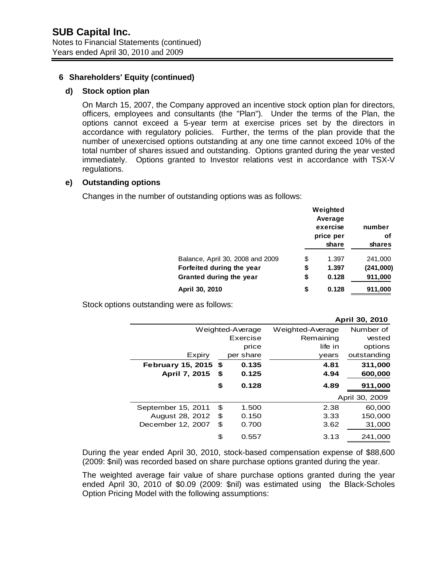### **6 Shareholders' Equity (continued)**

#### **d) Stock option plan**

On March 15, 2007, the Company approved an incentive stock option plan for directors, officers, employees and consultants (the "Plan"). Under the terms of the Plan, the options cannot exceed a 5-year term at exercise prices set by the directors in accordance with regulatory policies. Further, the terms of the plan provide that the number of unexercised options outstanding at any one time cannot exceed 10% of the total number of shares issued and outstanding. Options granted during the year vested immediately. Options granted to Investor relations vest in accordance with TSX-V regulations.

#### **e) Outstanding options**

Changes in the number of outstanding options was as follows:

|                                  | Weighted<br>Average<br>exercise<br>price per<br>share | number<br>οf<br>shares |
|----------------------------------|-------------------------------------------------------|------------------------|
| Balance, April 30, 2008 and 2009 | \$<br>1.397                                           | 241,000                |
| Forfeited during the year        | \$<br>1.397                                           | (241,000)              |
| Granted during the year          | \$<br>0.128                                           | 911,000                |
| April 30, 2010                   | \$<br>0.128                                           | 911,000                |

Stock options outstanding were as follows:

|                          |      |                  |                  | April 30, 2010 |
|--------------------------|------|------------------|------------------|----------------|
|                          |      | Weighted-Average | Weighted-Average | Number of      |
|                          |      | Exercise         | Remaining        | vested         |
|                          |      | price            | life in          | options        |
| Expiry                   |      | per share        | vears            | outstanding    |
| <b>February 15, 2015</b> | - \$ | 0.135            | 4.81             | 311,000        |
| <b>April 7, 2015</b>     | \$   | 0.125            | 4.94             | 600,000        |
|                          | \$   | 0.128            | 4.89             | 911,000        |
|                          |      |                  |                  | April 30, 2009 |
| September 15, 2011       | \$   | 1.500            | 2.38             | 60,000         |
| August 28, 2012          | \$   | 0.150            | 3.33             | 150,000        |
| December 12, 2007        | \$   | 0.700            | 3.62             | 31,000         |
|                          | \$   | 0.557            | 3.13             | 241.000        |

During the year ended April 30, 2010, stock-based compensation expense of \$88,600 (2009: \$nil) was recorded based on share purchase options granted during the year.

The weighted average fair value of share purchase options granted during the year ended April 30, 2010 of \$0.09 (2009: \$nil) was estimated using the Black-Scholes Option Pricing Model with the following assumptions: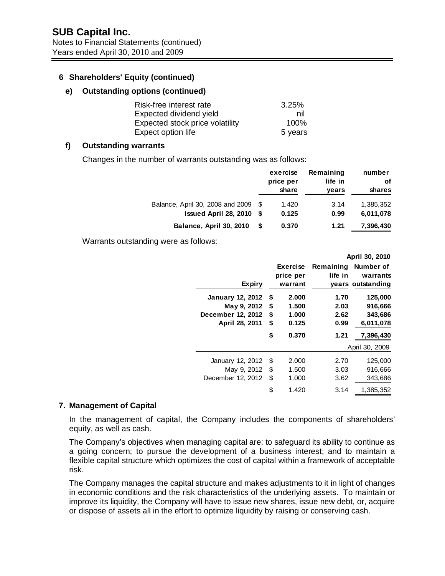## **6 Shareholders' Equity (continued)**

#### **e) Outstanding options (continued)**

| Risk-free interest rate         | 3.25%   |
|---------------------------------|---------|
| Expected dividend yield         | nil     |
| Expected stock price volatility | 100%    |
| Expect option life              | 5 years |

## **f) Outstanding warrants**

Changes in the number of warrants outstanding was as follows:

|                                  |      | exercise<br>price per<br>share | Remaining<br>life in<br>years | number<br>οf<br>shares |
|----------------------------------|------|--------------------------------|-------------------------------|------------------------|
| Balance, April 30, 2008 and 2009 | - \$ | 1.420                          | 3.14                          | 1,385,352              |
| Issued April 28, 2010            | S.   | 0.125                          | 0.99                          | 6,011,078              |
| Balance, April 30, 2010          | S    | 0.370                          | 1.21                          | 7,396,430              |

Warrants outstanding were as follows:

|                         |         |                              | April 30, 2010 |                   |  |  |
|-------------------------|---------|------------------------------|----------------|-------------------|--|--|
|                         |         | <b>Exercise</b><br>Remaining |                | Number of         |  |  |
|                         |         | price per                    | life in        | warrants          |  |  |
| <b>Expiry</b>           | warrant |                              |                | years outstanding |  |  |
| <b>January 12, 2012</b> | \$      | 2.000                        | 1.70           | 125,000           |  |  |
| May 9, 2012             | \$      | 1.500                        | 2.03           | 916,666           |  |  |
| December 12, 2012       | \$      | 1.000                        | 2.62           | 343,686           |  |  |
| April 28, 2011          | \$      | 0.125                        | 0.99           | 6,011,078         |  |  |
|                         | \$      | 0.370                        | 1.21           | 7,396,430         |  |  |
|                         |         |                              |                | April 30, 2009    |  |  |
| January 12, 2012        | \$      | 2.000                        | 2.70           | 125,000           |  |  |
| May 9, 2012             | \$      | 1.500                        | 3.03           | 916,666           |  |  |
| December 12, 2012       | \$      | 1.000                        | 3.62           | 343,686           |  |  |
|                         | \$      | 1.420                        | 3.14           | 1,385,352         |  |  |

#### **7. Management of Capital**

In the management of capital, the Company includes the components of shareholders' equity, as well as cash.

The Company's objectives when managing capital are: to safeguard its ability to continue as a going concern; to pursue the development of a business interest; and to maintain a flexible capital structure which optimizes the cost of capital within a framework of acceptable risk.

The Company manages the capital structure and makes adjustments to it in light of changes in economic conditions and the risk characteristics of the underlying assets. To maintain or improve its liquidity, the Company will have to issue new shares, issue new debt, or, acquire or dispose of assets all in the effort to optimize liquidity by raising or conserving cash.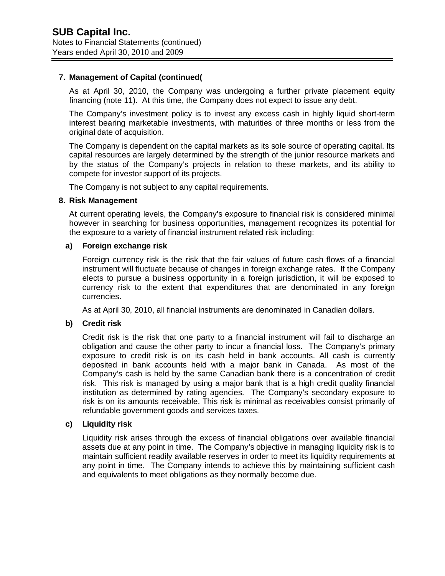## **7. Management of Capital (continued(**

As at April 30, 2010, the Company was undergoing a further private placement equity financing (note 11). At this time, the Company does not expect to issue any debt.

The Company's investment policy is to invest any excess cash in highly liquid short-term interest bearing marketable investments, with maturities of three months or less from the original date of acquisition.

The Company is dependent on the capital markets as its sole source of operating capital. Its capital resources are largely determined by the strength of the junior resource markets and by the status of the Company's projects in relation to these markets, and its ability to compete for investor support of its projects.

The Company is not subject to any capital requirements.

#### **8. Risk Management**

At current operating levels, the Company's exposure to financial risk is considered minimal however in searching for business opportunities, management recognizes its potential for the exposure to a variety of financial instrument related risk including:

#### **a) Foreign exchange risk**

Foreign currency risk is the risk that the fair values of future cash flows of a financial instrument will fluctuate because of changes in foreign exchange rates. If the Company elects to pursue a business opportunity in a foreign jurisdiction, it will be exposed to currency risk to the extent that expenditures that are denominated in any foreign currencies.

As at April 30, 2010, all financial instruments are denominated in Canadian dollars.

#### **b) Credit risk**

Credit risk is the risk that one party to a financial instrument will fail to discharge an obligation and cause the other party to incur a financial loss. The Company's primary exposure to credit risk is on its cash held in bank accounts. All cash is currently deposited in bank accounts held with a major bank in Canada. As most of the Company's cash is held by the same Canadian bank there is a concentration of credit risk. This risk is managed by using a major bank that is a high credit quality financial institution as determined by rating agencies. The Company's secondary exposure to risk is on its amounts receivable. This risk is minimal as receivables consist primarily of refundable government goods and services taxes.

#### **c) Liquidity risk**

Liquidity risk arises through the excess of financial obligations over available financial assets due at any point in time. The Company's objective in managing liquidity risk is to maintain sufficient readily available reserves in order to meet its liquidity requirements at any point in time. The Company intends to achieve this by maintaining sufficient cash and equivalents to meet obligations as they normally become due.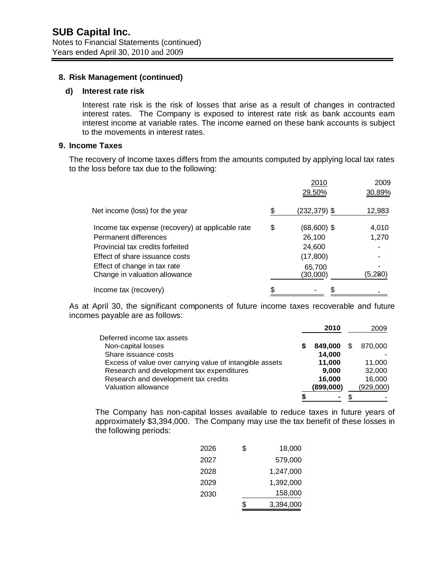#### **8. Risk Management (continued)**

#### **d) Interest rate risk**

Interest rate risk is the risk of losses that arise as a result of changes in contracted interest rates. The Company is exposed to interest rate risk as bank accounts earn interest income at variable rates. The income earned on these bank accounts is subject to the movements in interest rates.

## **9. Income Taxes**

The recovery of Income taxes differs from the amounts computed by applying local tax rates to the loss before tax due to the following:

|                                                  | 2010<br>29.50%        | 2009<br>30.89% |
|--------------------------------------------------|-----------------------|----------------|
| Net income (loss) for the year                   | \$<br>$(232, 379)$ \$ | 12,983         |
| Income tax expense (recovery) at applicable rate | \$<br>$(68,600)$ \$   | 4,010          |
| Permanent differences                            | 26,100                | 1,270          |
| Provincial tax credits forfeited                 | 24,600                |                |
| Effect of share issuance costs                   | (17, 800)             |                |
| Effect of change in tax rate                     | 65,700                |                |
| Change in valuation allowance                    | (30,000)              | (5, 280)       |
| Income tax (recovery)                            |                       |                |

As at April 30, the significant components of future income taxes recoverable and future incomes payable are as follows:

|                                                          | 2010      | 2009      |
|----------------------------------------------------------|-----------|-----------|
| Deferred income tax assets                               |           |           |
| Non-capital losses                                       | 849.000   | 870,000   |
| Share issuance costs                                     | 14,000    |           |
| Excess of value over carrying value of intangible assets | 11.000    | 11.000    |
| Research and development tax expenditures                | 9.000     | 32,000    |
| Research and development tax credits                     | 16,000    | 16,000    |
| Valuation allowance                                      | (899,000) | (929,000) |
|                                                          | ۰         |           |

The Company has non-capital losses available to reduce taxes in future years of approximately \$3,394,000. The Company may use the tax benefit of these losses in the following periods:

| 2026 | \$<br>18,000 |
|------|--------------|
| 2027 | 579,000      |
| 2028 | 1,247,000    |
| 2029 | 1,392,000    |
| 2030 | 158,000      |
|      | 3,394,000    |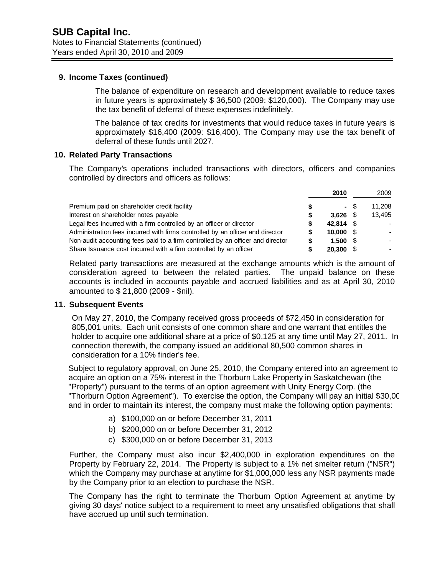### **9. Income Taxes (continued)**

The balance of expenditure on research and development available to reduce taxes in future years is approximately \$ 36,500 (2009: \$120,000). The Company may use the tax benefit of deferral of these expenses indefinitely.

The balance of tax credits for investments that would reduce taxes in future years is approximately \$16,400 (2009: \$16,400). The Company may use the tax benefit of deferral of these funds until 2027.

## **10. Related Party Transactions**

The Company's operations included transactions with directors, officers and companies controlled by directors and officers as follows:

|                                                                                | 2010      |      | 2009   |
|--------------------------------------------------------------------------------|-----------|------|--------|
| Premium paid on shareholder credit facility                                    |           | - \$ | 11.208 |
| Interest on shareholder notes payable                                          | 3.626     |      | 13,495 |
| Legal fees incurred with a firm controlled by an officer or director           | 42.814 \$ |      |        |
| Administration fees incurred with firms controlled by an officer and director  | 10.000    |      |        |
| Non-audit accounting fees paid to a firm controlled by an officer and director | 1.500     |      |        |
| Share Issuance cost incurred with a firm controlled by an officer              | 20,300    |      |        |

Related party transactions are measured at the exchange amounts which is the amount of consideration agreed to between the related parties. The unpaid balance on these accounts is included in accounts payable and accrued liabilities and as at April 30, 2010 amounted to \$ 21,800 (2009 - \$nil).

#### **11. Subsequent Events**

On May 27, 2010, the Company received gross proceeds of \$72,450 in consideration for 805,001 units. Each unit consists of one common share and one warrant that entitles the holder to acquire one additional share at a price of \$0.125 at any time until May 27, 2011. In connection therewith, the company issued an additional 80,500 common shares in consideration for a 10% finder's fee.

Subject to regulatory approval, on June 25, 2010, the Company entered into an agreement to acquire an option on a 75% interest in the Thorburn Lake Property in Saskatchewan (the "Property") pursuant to the terms of an option agreement with Unity Energy Corp. (the "Thorburn Option Agreement"). To exercise the option, the Company will pay an initial \$30,00 and in order to maintain its interest, the company must make the following option payments:

- a) \$100,000 on or before December 31, 2011
- b) \$200,000 on or before December 31, 2012
- c) \$300,000 on or before December 31, 2013

Further, the Company must also incur \$2,400,000 in exploration expenditures on the Property by February 22, 2014. The Property is subject to a 1% net smelter return ("NSR") which the Company may purchase at anytime for \$1,000,000 less any NSR payments made by the Company prior to an election to purchase the NSR.

The Company has the right to terminate the Thorburn Option Agreement at anytime by giving 30 days' notice subject to a requirement to meet any unsatisfied obligations that shall have accrued up until such termination.